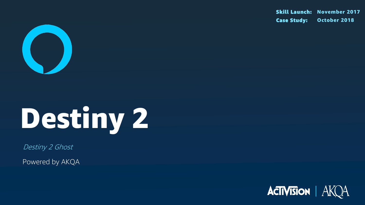

# Destiny 2

Destiny 2 Ghost

Powered by AKQA

Skill Launch: November 2017 Case Study: October 2018

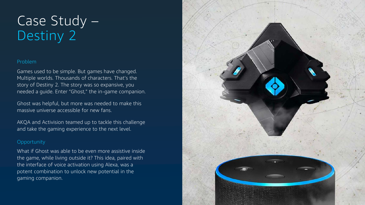### Problem

Games used to be simple. But games have changed. Multiple worlds. Thousands of characters. That's the story of Destiny 2. The story was so expansive, you needed a guide. Enter "Ghost," the in-game companion.

Ghost was helpful, but more was needed to make this massive universe accessible for new fans.

AKQA and Activision teamed up to tackle this challenge and take the gaming experience to the next level.

### **Opportunity**

# Case Study – Destiny 2

What if Ghost was able to be even more assistive inside the game, while living outside it? This idea, paired with the interface of voice activation using Alexa, was a potent combination to unlock new potential in the gaming companion.

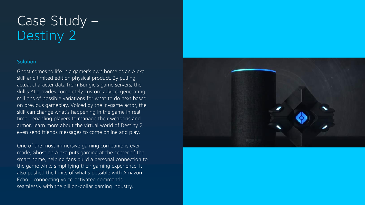# Case Study – Destiny 2

### **Solution**

Ghost comes to life in a gamer's own home as an Alexa skill and limited edition physical product. By pulling actual character data from Bungie's game servers, the skill's AI provides completely custom advice, generating millions of possible variations for what to do next based on previous gameplay. Voiced by the in-game actor, the skill can change what's happening in the game in real time - enabling players to manage their weapons and armor, learn more about the virtual world of Destiny 2, even send friends messages to come online and play.

One of the most immersive gaming companions ever made, Ghost on Alexa puts gaming at the center of the smart home, helping fans build a personal connection to the game while simplifying their gaming experience. It also pushed the limits of what's possible with Amazon Echo – connecting voice-activated commands seamlessly with the billion-dollar gaming industry.

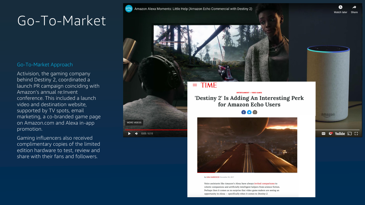



By LISA EADICICCO November 30, 2017

Voice assistants like Amazon's Alexa have always invited comparisons to robotic companions and artificially intelligent helpers from science fiction. Perhaps then it comes as no surprise that video game makers are seeing an opportunity in Alexa - specifically when it comes to Destiny 2.

Ad 1

**MORE VIDEOS** 

 $\blacktriangleleft$ 

 $0:05 / 0:15$ 







Activision, the gaming company behind Destiny 2, coordinated a launch PR campaign coinciding with Amazon's annual re:Invent conference. This included a launch video and destination website, supported by TV spots, email marketing, a co -branded game page on Amazon.com and Alexa in -app promotion.

Gaming influencers also received complimentary copies of the limited edition hardware to test, review and share with their fans and followers.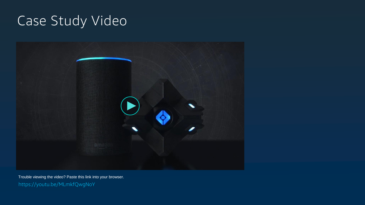# Case Study Video



Trouble viewing the video? Paste this link into your browser. https://youtu.be/MLmkfQwgNoY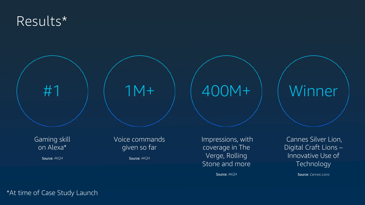### Results\*

#1

Source: AKOA



Source: AKQA

### Voice commands given so far

1M+ 400M+

Impressions, with coverage in The Verge, Rolling Stone and more

Source: AKQA

# Winner

Cannes Silver Lion, Digital Craft Lions – Innovative Use of Technology

Source: Cannes Lions

### \*At time of Case Study Launch